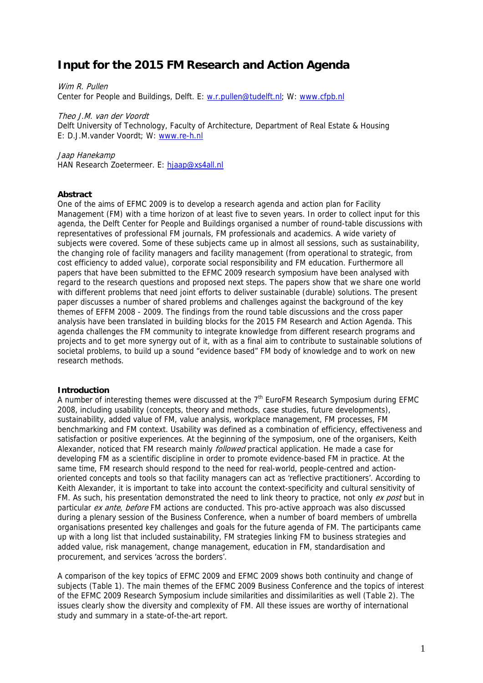# **Input for the 2015 FM Research and Action Agenda**

Wim R. Pullen Center for People and Buildings, Delft. E: w.r.pullen@tudelft.nl; W: www.cfpb.nl

Theo J.M. van der Voordt Delft University of Technology, Faculty of Architecture, Department of Real Estate & Housing E: D.J.M.vander Voordt; W: www.re-h.nl

Jaap Hanekamp HAN Research Zoetermeer. E: hjaap@xs4all.nl

## **Abstract**

One of the aims of EFMC 2009 is to develop a research agenda and action plan for Facility Management (FM) with a time horizon of at least five to seven years. In order to collect input for this agenda, the Delft Center for People and Buildings organised a number of round-table discussions with representatives of professional FM journals, FM professionals and academics. A wide variety of subjects were covered. Some of these subjects came up in almost all sessions, such as sustainability, the changing role of facility managers and facility management (from operational to strategic, from cost efficiency to added value), corporate social responsibility and FM education. Furthermore all papers that have been submitted to the EFMC 2009 research symposium have been analysed with regard to the research questions and proposed next steps. The papers show that we share one world with different problems that need joint efforts to deliver sustainable (durable) solutions. The present paper discusses a number of shared problems and challenges against the background of the key themes of EFFM 2008 - 2009. The findings from the round table discussions and the cross paper analysis have been translated in building blocks for the 2015 FM Research and Action Agenda. This agenda challenges the FM community to integrate knowledge from different research programs and projects and to get more synergy out of it, with as a final aim to contribute to sustainable solutions of societal problems, to build up a sound "evidence based" FM body of knowledge and to work on new research methods.

## **Introduction**

A number of interesting themes were discussed at the  $7<sup>th</sup>$  EuroFM Research Symposium during EFMC 2008, including usability (concepts, theory and methods, case studies, future developments), sustainability, added value of FM, value analysis, workplace management, FM processes, FM benchmarking and FM context. Usability was defined as a combination of efficiency, effectiveness and satisfaction or positive experiences. At the beginning of the symposium, one of the organisers, Keith Alexander, noticed that FM research mainly *followed* practical application. He made a case for developing FM as a scientific discipline in order to promote evidence-based FM in practice. At the same time, FM research should respond to the need for real-world, people-centred and actionoriented concepts and tools so that facility managers can act as 'reflective practitioners'. According to Keith Alexander, it is important to take into account the context-specificity and cultural sensitivity of FM. As such, his presentation demonstrated the need to link theory to practice, not only ex post but in particular ex ante, before FM actions are conducted. This pro-active approach was also discussed during a plenary session of the Business Conference, when a number of board members of umbrella organisations presented key challenges and goals for the future agenda of FM. The participants came up with a long list that included sustainability, FM strategies linking FM to business strategies and added value, risk management, change management, education in FM, standardisation and procurement, and services 'across the borders'.

A comparison of the key topics of EFMC 2009 and EFMC 2009 shows both continuity and change of subjects (Table 1). The main themes of the EFMC 2009 Business Conference and the topics of interest of the EFMC 2009 Research Symposium include similarities and dissimilarities as well (Table 2). The issues clearly show the diversity and complexity of FM. All these issues are worthy of international study and summary in a state-of-the-art report.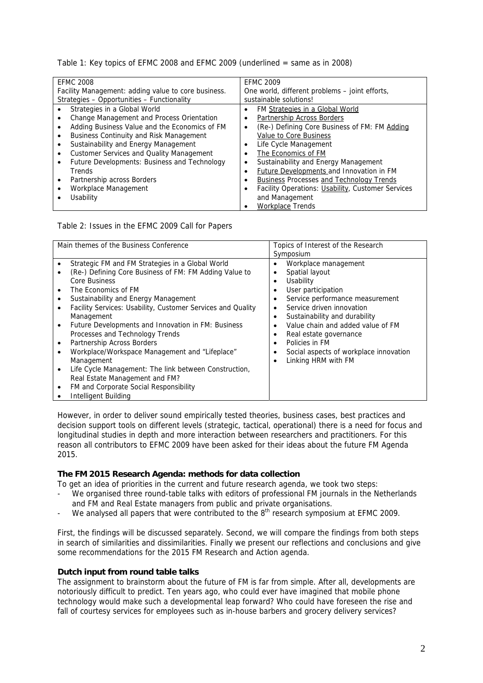Table 1: Key topics of EFMC 2008 and EFMC 2009 (underlined = same as in 2008)

| <b>EFMC 2008</b>                                    | <b>EFMC 2009</b>                                               |  |
|-----------------------------------------------------|----------------------------------------------------------------|--|
| Facility Management: adding value to core business. | One world, different problems - joint efforts,                 |  |
| Strategies - Opportunities - Functionality          | sustainable solutions!                                         |  |
| Strategies in a Global World                        | FM Strategies in a Global World<br>٠                           |  |
| Change Management and Process Orientation           | Partnership Across Borders                                     |  |
| Adding Business Value and the Economics of FM       | (Re-) Defining Core Business of FM: FM Adding<br>$\bullet$     |  |
| <b>Business Continuity and Risk Management</b>      | Value to Core Business                                         |  |
| Sustainability and Energy Management                | Life Cycle Management                                          |  |
| Customer Services and Quality Management            | The Economics of FM                                            |  |
| Future Developments: Business and Technology        | Sustainability and Energy Management<br>٠                      |  |
| Trends                                              | <b>Future Developments and Innovation in FM</b>                |  |
| Partnership across Borders                          | <b>Business Processes and Technology Trends</b>                |  |
| Workplace Management                                | Facility Operations: Usability, Customer Services<br>$\bullet$ |  |
| Usability                                           | and Management                                                 |  |
|                                                     | <b>Workplace Trends</b>                                        |  |

Table 2: Issues in the EFMC 2009 Call for Papers

| Main themes of the Business Conference |                                                             | Topics of Interest of the Research                  |
|----------------------------------------|-------------------------------------------------------------|-----------------------------------------------------|
|                                        |                                                             | Symposium                                           |
|                                        | Strategic FM and FM Strategies in a Global World            | Workplace management<br>٠                           |
|                                        | (Re-) Defining Core Business of FM: FM Adding Value to      | Spatial layout<br>٠                                 |
|                                        | Core Business                                               | Usability<br>$\bullet$                              |
|                                        | The Economics of FM                                         | User participation<br>$\bullet$                     |
|                                        | Sustainability and Energy Management                        | Service performance measurement<br>٠                |
|                                        | Facility Services: Usability, Customer Services and Quality | Service driven innovation<br>٠                      |
|                                        | Management                                                  | Sustainability and durability<br>٠                  |
|                                        | Future Developments and Innovation in FM: Business          | Value chain and added value of FM<br>$\bullet$      |
|                                        | Processes and Technology Trends                             | Real estate governance<br>٠                         |
|                                        | Partnership Across Borders                                  | Policies in FM<br>٠                                 |
|                                        | Workplace/Workspace Management and "Lifeplace"              | Social aspects of workplace innovation<br>$\bullet$ |
|                                        | Management                                                  | Linking HRM with FM<br>$\bullet$                    |
|                                        | Life Cycle Management: The link between Construction,       |                                                     |
|                                        | Real Estate Management and FM?                              |                                                     |
|                                        | FM and Corporate Social Responsibility                      |                                                     |
|                                        | Intelligent Building                                        |                                                     |

However, in order to deliver sound empirically tested theories, business cases, best practices and decision support tools on different levels (strategic, tactical, operational) there is a need for focus and longitudinal studies in depth and more interaction between researchers and practitioners. For this reason all contributors to EFMC 2009 have been asked for their ideas about the future FM Agenda 2015.

## **The FM 2015 Research Agenda: methods for data collection**

To get an idea of priorities in the current and future research agenda, we took two steps:

- We organised three round-table talks with editors of professional FM journals in the Netherlands and FM and Real Estate managers from public and private organisations.
- We analysed all papers that were contributed to the 8<sup>th</sup> research symposium at EFMC 2009.

First, the findings will be discussed separately. Second, we will compare the findings from both steps in search of similarities and dissimilarities. Finally we present our reflections and conclusions and give some recommendations for the 2015 FM Research and Action agenda.

## **Dutch input from round table talks**

The assignment to brainstorm about the future of FM is far from simple. After all, developments are notoriously difficult to predict. Ten years ago, who could ever have imagined that mobile phone technology would make such a developmental leap forward? Who could have foreseen the rise and fall of courtesy services for employees such as in-house barbers and grocery delivery services?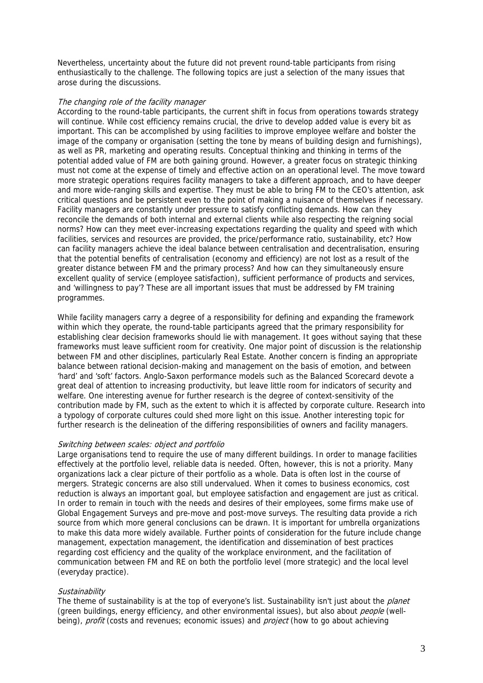Nevertheless, uncertainty about the future did not prevent round-table participants from rising enthusiastically to the challenge. The following topics are just a selection of the many issues that arose during the discussions.

## The changing role of the facility manager

According to the round-table participants, the current shift in focus from operations towards strategy will continue. While cost efficiency remains crucial, the drive to develop added value is every bit as important. This can be accomplished by using facilities to improve employee welfare and bolster the image of the company or organisation (setting the tone by means of building design and furnishings), as well as PR, marketing and operating results. Conceptual thinking and thinking in terms of the potential added value of FM are both gaining ground. However, a greater focus on strategic thinking must not come at the expense of timely and effective action on an operational level. The move toward more strategic operations requires facility managers to take a different approach, and to have deeper and more wide-ranging skills and expertise. They must be able to bring FM to the CEO's attention, ask critical questions and be persistent even to the point of making a nuisance of themselves if necessary. Facility managers are constantly under pressure to satisfy conflicting demands. How can they reconcile the demands of both internal and external clients while also respecting the reigning social norms? How can they meet ever-increasing expectations regarding the quality and speed with which facilities, services and resources are provided, the price/performance ratio, sustainability, etc? How can facility managers achieve the ideal balance between centralisation and decentralisation, ensuring that the potential benefits of centralisation (economy and efficiency) are not lost as a result of the greater distance between FM and the primary process? And how can they simultaneously ensure excellent quality of service (employee satisfaction), sufficient performance of products and services, and 'willingness to pay'? These are all important issues that must be addressed by FM training programmes.

While facility managers carry a degree of a responsibility for defining and expanding the framework within which they operate, the round-table participants agreed that the primary responsibility for establishing clear decision frameworks should lie with management. It goes without saying that these frameworks must leave sufficient room for creativity. One major point of discussion is the relationship between FM and other disciplines, particularly Real Estate. Another concern is finding an appropriate balance between rational decision-making and management on the basis of emotion, and between 'hard' and 'soft' factors. Anglo-Saxon performance models such as the Balanced Scorecard devote a great deal of attention to increasing productivity, but leave little room for indicators of security and welfare. One interesting avenue for further research is the degree of context-sensitivity of the contribution made by FM, such as the extent to which it is affected by corporate culture. Research into a typology of corporate cultures could shed more light on this issue. Another interesting topic for further research is the delineation of the differing responsibilities of owners and facility managers.

#### Switching between scales: object and portfolio

Large organisations tend to require the use of many different buildings. In order to manage facilities effectively at the portfolio level, reliable data is needed. Often, however, this is not a priority. Many organizations lack a clear picture of their portfolio as a whole. Data is often lost in the course of mergers. Strategic concerns are also still undervalued. When it comes to business economics, cost reduction is always an important goal, but employee satisfaction and engagement are just as critical. In order to remain in touch with the needs and desires of their employees, some firms make use of Global Engagement Surveys and pre-move and post-move surveys. The resulting data provide a rich source from which more general conclusions can be drawn. It is important for umbrella organizations to make this data more widely available. Further points of consideration for the future include change management, expectation management, the identification and dissemination of best practices regarding cost efficiency and the quality of the workplace environment, and the facilitation of communication between FM and RE on both the portfolio level (more strategic) and the local level (everyday practice).

#### **Sustainability**

The theme of sustainability is at the top of everyone's list. Sustainability isn't just about the *planet* (green buildings, energy efficiency, and other environmental issues), but also about people (wellbeing), *profit* (costs and revenues; economic issues) and *project* (how to go about achieving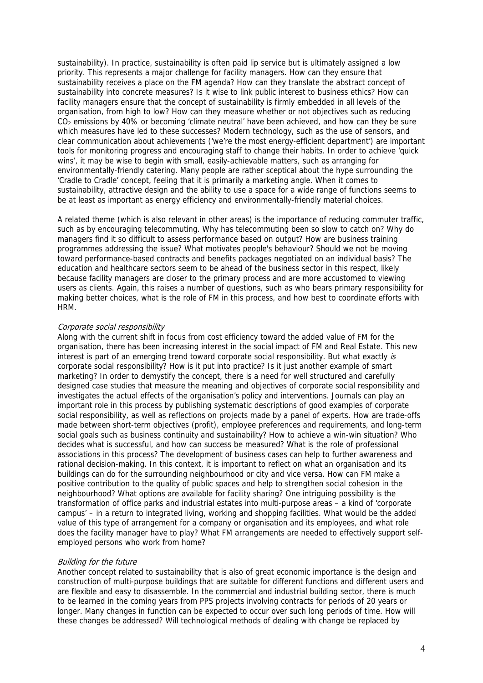sustainability). In practice, sustainability is often paid lip service but is ultimately assigned a low priority. This represents a major challenge for facility managers. How can they ensure that sustainability receives a place on the FM agenda? How can they translate the abstract concept of sustainability into concrete measures? Is it wise to link public interest to business ethics? How can facility managers ensure that the concept of sustainability is firmly embedded in all levels of the organisation, from high to low? How can they measure whether or not objectives such as reducing  $CO<sub>2</sub>$  emissions by 40% or becoming 'climate neutral' have been achieved, and how can they be sure which measures have led to these successes? Modern technology, such as the use of sensors, and clear communication about achievements ('we're the most energy-efficient department') are important tools for monitoring progress and encouraging staff to change their habits. In order to achieve 'quick wins', it may be wise to begin with small, easily-achievable matters, such as arranging for environmentally-friendly catering. Many people are rather sceptical about the hype surrounding the 'Cradle to Cradle' concept, feeling that it is primarily a marketing angle. When it comes to sustainability, attractive design and the ability to use a space for a wide range of functions seems to be at least as important as energy efficiency and environmentally-friendly material choices.

A related theme (which is also relevant in other areas) is the importance of reducing commuter traffic, such as by encouraging telecommuting. Why has telecommuting been so slow to catch on? Why do managers find it so difficult to assess performance based on output? How are business training programmes addressing the issue? What motivates people's behaviour? Should we not be moving toward performance-based contracts and benefits packages negotiated on an individual basis? The education and healthcare sectors seem to be ahead of the business sector in this respect, likely because facility managers are closer to the primary process and are more accustomed to viewing users as clients. Again, this raises a number of questions, such as who bears primary responsibility for making better choices, what is the role of FM in this process, and how best to coordinate efforts with HRM.

## Corporate social responsibility

Along with the current shift in focus from cost efficiency toward the added value of FM for the organisation, there has been increasing interest in the social impact of FM and Real Estate. This new interest is part of an emerging trend toward corporate social responsibility. But what exactly is corporate social responsibility? How is it put into practice? Is it just another example of smart marketing? In order to demystify the concept, there is a need for well structured and carefully designed case studies that measure the meaning and objectives of corporate social responsibility and investigates the actual effects of the organisation's policy and interventions. Journals can play an important role in this process by publishing systematic descriptions of good examples of corporate social responsibility, as well as reflections on projects made by a panel of experts. How are trade-offs made between short-term objectives (profit), employee preferences and requirements, and long-term social goals such as business continuity and sustainability? How to achieve a win-win situation? Who decides what is successful, and how can success be measured? What is the role of professional associations in this process? The development of business cases can help to further awareness and rational decision-making. In this context, it is important to reflect on what an organisation and its buildings can do for the surrounding neighbourhood or city and vice versa. How can FM make a positive contribution to the quality of public spaces and help to strengthen social cohesion in the neighbourhood? What options are available for facility sharing? One intriguing possibility is the transformation of office parks and industrial estates into multi-purpose areas – a kind of 'corporate campus' – in a return to integrated living, working and shopping facilities. What would be the added value of this type of arrangement for a company or organisation and its employees, and what role does the facility manager have to play? What FM arrangements are needed to effectively support selfemployed persons who work from home?

#### Building for the future

Another concept related to sustainability that is also of great economic importance is the design and construction of multi-purpose buildings that are suitable for different functions and different users and are flexible and easy to disassemble. In the commercial and industrial building sector, there is much to be learned in the coming years from PPS projects involving contracts for periods of 20 years or longer. Many changes in function can be expected to occur over such long periods of time. How will these changes be addressed? Will technological methods of dealing with change be replaced by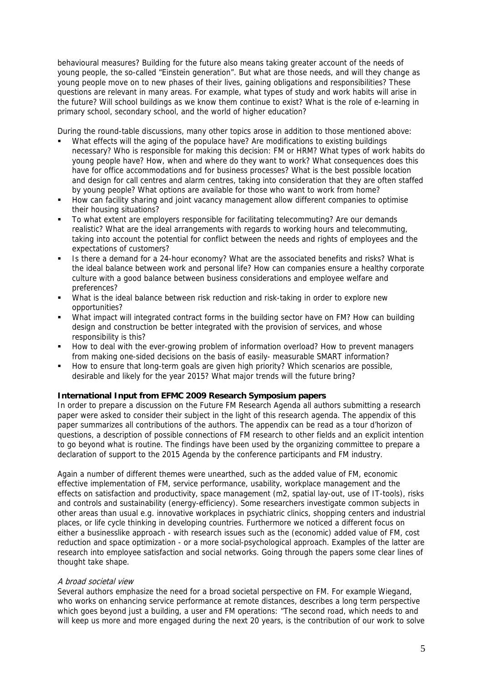behavioural measures? Building for the future also means taking greater account of the needs of young people, the so-called "Einstein generation". But what are those needs, and will they change as young people move on to new phases of their lives, gaining obligations and responsibilities? These questions are relevant in many areas. For example, what types of study and work habits will arise in the future? Will school buildings as we know them continue to exist? What is the role of e-learning in primary school, secondary school, and the world of higher education?

During the round-table discussions, many other topics arose in addition to those mentioned above:

- What effects will the aging of the populace have? Are modifications to existing buildings necessary? Who is responsible for making this decision: FM or HRM? What types of work habits do young people have? How, when and where do they want to work? What consequences does this have for office accommodations and for business processes? What is the best possible location and design for call centres and alarm centres, taking into consideration that they are often staffed by young people? What options are available for those who want to work from home?
- How can facility sharing and joint vacancy management allow different companies to optimise their housing situations?
- To what extent are employers responsible for facilitating telecommuting? Are our demands realistic? What are the ideal arrangements with regards to working hours and telecommuting, taking into account the potential for conflict between the needs and rights of employees and the expectations of customers?
- Is there a demand for a 24-hour economy? What are the associated benefits and risks? What is the ideal balance between work and personal life? How can companies ensure a healthy corporate culture with a good balance between business considerations and employee welfare and preferences?
- What is the ideal balance between risk reduction and risk-taking in order to explore new opportunities?
- What impact will integrated contract forms in the building sector have on FM? How can building design and construction be better integrated with the provision of services, and whose responsibility is this?
- **How to deal with the ever-growing problem of information overload? How to prevent managers** from making one-sided decisions on the basis of easily- measurable SMART information?
- How to ensure that long-term goals are given high priority? Which scenarios are possible, desirable and likely for the year 2015? What major trends will the future bring?

## **International Input from EFMC 2009 Research Symposium papers**

In order to prepare a discussion on the Future FM Research Agenda all authors submitting a research paper were asked to consider their subject in the light of this research agenda. The appendix of this paper summarizes all contributions of the authors. The appendix can be read as a tour d'horizon of questions, a description of possible connections of FM research to other fields and an explicit intention to go beyond what is routine. The findings have been used by the organizing committee to prepare a declaration of support to the 2015 Agenda by the conference participants and FM industry.

Again a number of different themes were unearthed, such as the added value of FM, economic effective implementation of FM, service performance, usability, workplace management and the effects on satisfaction and productivity, space management (m2, spatial lay-out, use of IT-tools), risks and controls and sustainability (energy-efficiency). Some researchers investigate common subjects in other areas than usual e.g. innovative workplaces in psychiatric clinics, shopping centers and industrial places, or life cycle thinking in developing countries. Furthermore we noticed a different focus on either a businesslike approach - with research issues such as the (economic) added value of FM, cost reduction and space optimization - or a more social-psychological approach. Examples of the latter are research into employee satisfaction and social networks. Going through the papers some clear lines of thought take shape.

#### A broad societal view

Several authors emphasize the need for a broad societal perspective on FM. For example Wiegand, who works on enhancing service performance at remote distances, describes a long term perspective which goes beyond just a building, a user and FM operations: "The second road, which needs to and will keep us more and more engaged during the next 20 years, is the contribution of our work to solve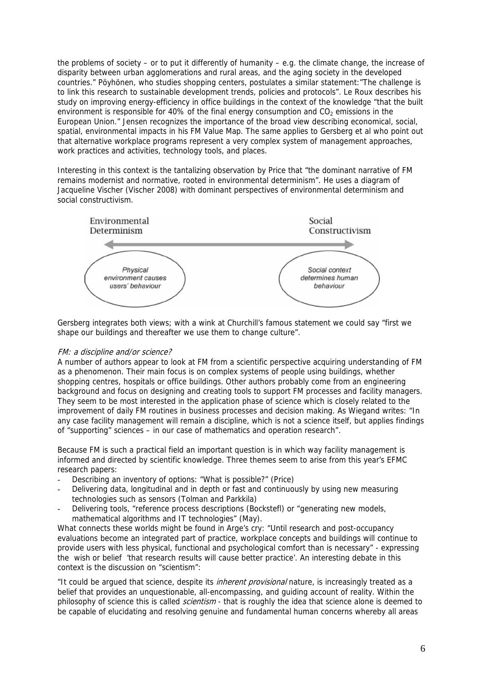the problems of society – or to put it differently of humanity – e.g. the climate change, the increase of disparity between urban agglomerations and rural areas, and the aging society in the developed countries." Pöyhönen, who studies shopping centers, postulates a similar statement:"The challenge is to link this research to sustainable development trends, policies and protocols". Le Roux describes his study on improving energy-efficiency in office buildings in the context of the knowledge "that the built environment is responsible for 40% of the final energy consumption and  $CO<sub>2</sub>$  emissions in the European Union." Jensen recognizes the importance of the broad view describing economical, social, spatial, environmental impacts in his FM Value Map. The same applies to Gersberg et al who point out that alternative workplace programs represent a very complex system of management approaches, work practices and activities, technology tools, and places.

Interesting in this context is the tantalizing observation by Price that "the dominant narrative of FM remains modernist and normative, rooted in environmental determinism". He uses a diagram of Jacqueline Vischer (Vischer 2008) with dominant perspectives of environmental determinism and social constructivism.



Gersberg integrates both views; with a wink at Churchill's famous statement we could say "first we shape our buildings and thereafter we use them to change culture".

## FM: a discipline and/or science?

A number of authors appear to look at FM from a scientific perspective acquiring understanding of FM as a phenomenon. Their main focus is on complex systems of people using buildings, whether shopping centres, hospitals or office buildings. Other authors probably come from an engineering background and focus on designing and creating tools to support FM processes and facility managers. They seem to be most interested in the application phase of science which is closely related to the improvement of daily FM routines in business processes and decision making. As Wiegand writes: "In any case facility management will remain a discipline, which is not a science itself, but applies findings of "supporting" sciences – in our case of mathematics and operation research".

Because FM is such a practical field an important question is in which way facility management is informed and directed by scientific knowledge. Three themes seem to arise from this year's EFMC research papers:

- Describing an inventory of options: "What is possible?" (Price)
- Delivering data, longitudinal and in depth or fast and continuously by using new measuring technologies such as sensors (Tolman and Parkkila)
- Delivering tools, "reference process descriptions (Bockstefl) or "generating new models, mathematical algorithms and IT technologies" (May).

What connects these worlds might be found in Arge's cry: "Until research and post-occupancy evaluations become an integrated part of practice, workplace concepts and buildings will continue to provide users with less physical, functional and psychological comfort than is necessary" - expressing the wish or belief 'that research results will cause better practice'. An interesting debate in this context is the discussion on "scientism":

"It could be argued that science, despite its *inherent provisional* nature, is increasingly treated as a belief that provides an unquestionable, all-encompassing, and guiding account of reality. Within the philosophy of science this is called *scientism* - that is roughly the idea that science alone is deemed to be capable of elucidating and resolving genuine and fundamental human concerns whereby all areas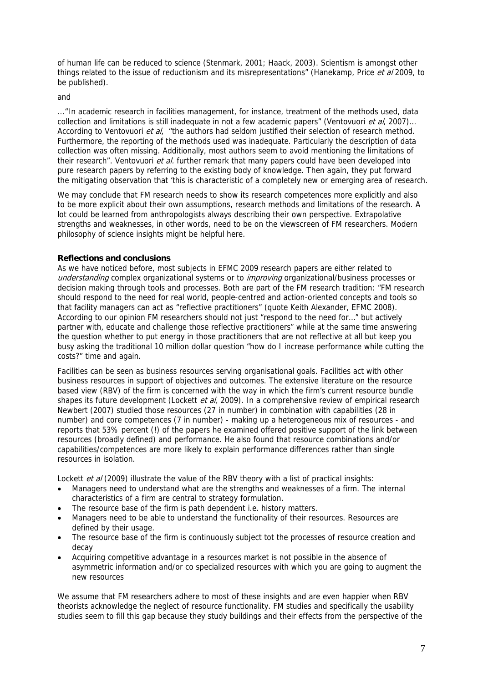of human life can be reduced to science (Stenmark, 2001; Haack, 2003). Scientism is amongst other things related to the issue of reductionism and its misrepresentations" (Hanekamp, Price et al 2009, to be published).

and

..."In academic research in facilities management, for instance, treatment of the methods used, data collection and limitations is still inadequate in not a few academic papers" (Ventovuori et al. 2007)... According to Ventovuori et al, "the authors had seldom justified their selection of research method. Furthermore, the reporting of the methods used was inadequate. Particularly the description of data collection was often missing. Additionally, most authors seem to avoid mentioning the limitations of their research". Ventovuori et al. further remark that many papers could have been developed into pure research papers by referring to the existing body of knowledge. Then again, they put forward the mitigating observation that 'this is characteristic of a completely new or emerging area of research.

We may conclude that FM research needs to show its research competences more explicitly and also to be more explicit about their own assumptions, research methods and limitations of the research. A lot could be learned from anthropologists always describing their own perspective. Extrapolative strengths and weaknesses, in other words, need to be on the viewscreen of FM researchers. Modern philosophy of science insights might be helpful here.

## **Reflections and conclusions**

As we have noticed before, most subjects in EFMC 2009 research papers are either related to understanding complex organizational systems or to *improving* organizational/business processes or decision making through tools and processes. Both are part of the FM research tradition: "FM research should respond to the need for real world, people-centred and action-oriented concepts and tools so that facility managers can act as "reflective practitioners" (quote Keith Alexander, EFMC 2008). According to our opinion FM researchers should not just "respond to the need for…" but actively partner with, educate and challenge those reflective practitioners" while at the same time answering the question whether to put energy in those practitioners that are not reflective at all but keep you busy asking the traditional 10 million dollar question "how do I increase performance while cutting the costs?" time and again.

Facilities can be seen as business resources serving organisational goals. Facilities act with other business resources in support of objectives and outcomes. The extensive literature on the resource based view (RBV) of the firm is concerned with the way in which the firm's current resource bundle shapes its future development (Lockett *et al.* 2009). In a comprehensive review of empirical research Newbert (2007) studied those resources (27 in number) in combination with capabilities (28 in number) and core competences (7 in number) - making up a heterogeneous mix of resources - and reports that 53% percent (!) of the papers he examined offered positive support of the link between resources (broadly defined) and performance. He also found that resource combinations and/or capabilities/competences are more likely to explain performance differences rather than single resources in isolation.

Lockett et al (2009) illustrate the value of the RBV theory with a list of practical insights:

- Managers need to understand what are the strengths and weaknesses of a firm. The internal characteristics of a firm are central to strategy formulation.
- The resource base of the firm is path dependent i.e. history matters.
- Managers need to be able to understand the functionality of their resources. Resources are defined by their usage.
- The resource base of the firm is continuously subject tot the processes of resource creation and decay
- Acquiring competitive advantage in a resources market is not possible in the absence of asymmetric information and/or co specialized resources with which you are going to augment the new resources

We assume that FM researchers adhere to most of these insights and are even happier when RBV theorists acknowledge the neglect of resource functionality. FM studies and specifically the usability studies seem to fill this gap because they study buildings and their effects from the perspective of the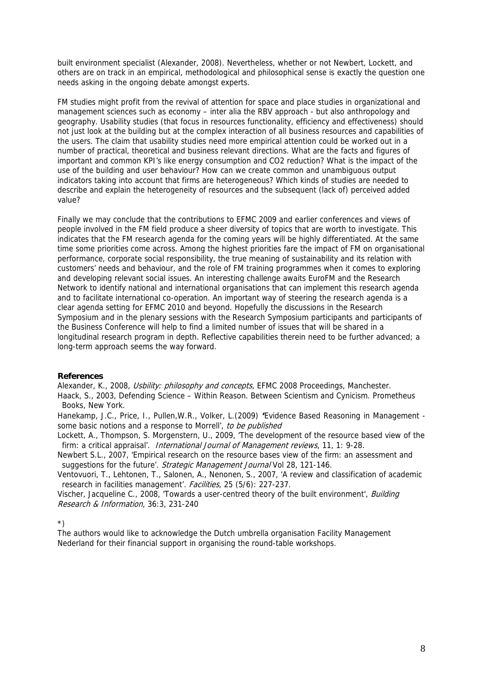built environment specialist (Alexander, 2008). Nevertheless, whether or not Newbert, Lockett, and others are on track in an empirical, methodological and philosophical sense is exactly the question one needs asking in the ongoing debate amongst experts.

FM studies might profit from the revival of attention for space and place studies in organizational and management sciences such as economy – inter alia the RBV approach - but also anthropology and geography. Usability studies (that focus in resources functionality, efficiency and effectiveness) should not just look at the building but at the complex interaction of all business resources and capabilities of the users. The claim that usability studies need more empirical attention could be worked out in a number of practical, theoretical and business relevant directions. What are the facts and figures of important and common KPI's like energy consumption and CO2 reduction? What is the impact of the use of the building and user behaviour? How can we create common and unambiguous output indicators taking into account that firms are heterogeneous? Which kinds of studies are needed to describe and explain the heterogeneity of resources and the subsequent (lack of) perceived added value?

Finally we may conclude that the contributions to EFMC 2009 and earlier conferences and views of people involved in the FM field produce a sheer diversity of topics that are worth to investigate. This indicates that the FM research agenda for the coming years will be highly differentiated. At the same time some priorities come across. Among the highest priorities fare the impact of FM on organisational performance, corporate social responsibility, the true meaning of sustainability and its relation with customers' needs and behaviour, and the role of FM training programmes when it comes to exploring and developing relevant social issues. An interesting challenge awaits EuroFM and the Research Network to identify national and international organisations that can implement this research agenda and to facilitate international co-operation. An important way of steering the research agenda is a clear agenda setting for EFMC 2010 and beyond. Hopefully the discussions in the Research Symposium and in the plenary sessions with the Research Symposium participants and participants of the Business Conference will help to find a limited number of issues that will be shared in a longitudinal research program in depth. Reflective capabilities therein need to be further advanced; a long-term approach seems the way forward.

## **References**

Alexander, K., 2008, Usbility: philosophy and concepts, EFMC 2008 Proceedings, Manchester.

Haack, S., 2003, Defending Science – Within Reason. Between Scientism and Cynicism. Prometheus Books, New York.

Hanekamp, J.C., Price, I., Pullen,W.R., Volker, L.(2009) **'**Evidence Based Reasoning in Management some basic notions and a response to Morrell', to be published

Lockett, A., Thompson, S. Morgenstern, U., 2009, 'The development of the resource based view of the firm: a critical appraisal'. International Journal of Management reviews, 11, 1: 9-28.

Newbert S.L., 2007, 'Empirical research on the resource bases view of the firm: an assessment and suggestions for the future'. Strategic Management Journal Vol 28, 121-146.

Ventovuori, T., Lehtonen, T., Salonen, A., Nenonen, S., 2007, 'A review and classification of academic research in facilities management'. Facilities, 25 (5/6): 227-237.

Vischer, Jacqueline C., 2008, 'Towards a user-centred theory of the built environment', Building Research & Information, 36:3, 231-240

\*)

The authors would like to acknowledge the Dutch umbrella organisation Facility Management Nederland for their financial support in organising the round-table workshops.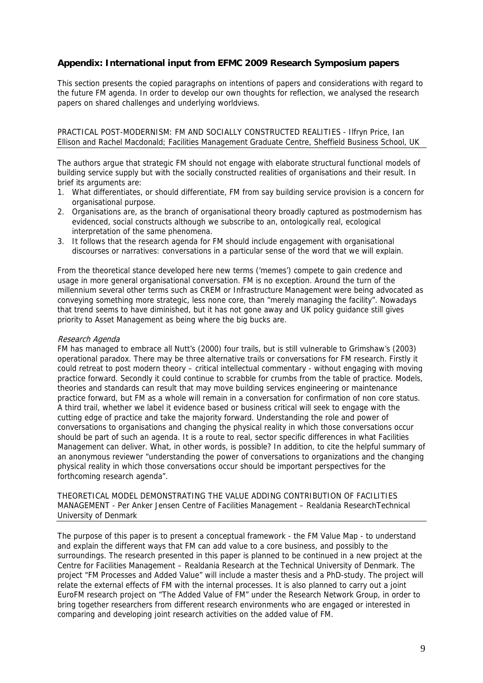## **Appendix: International input from EFMC 2009 Research Symposium papers**

This section presents the copied paragraphs on intentions of papers and considerations with regard to the future FM agenda. In order to develop our own thoughts for reflection, we analysed the research papers on shared challenges and underlying worldviews.

PRACTICAL POST-MODERNISM: FM AND SOCIALLY CONSTRUCTED REALITIES - Ilfryn Price, Ian Ellison and Rachel Macdonald; Facilities Management Graduate Centre, Sheffield Business School, UK

The authors argue that strategic FM should not engage with elaborate structural functional models of building service supply but with the socially constructed realities of organisations and their result. In brief its arguments are:

- 1. What differentiates, or should differentiate, FM from say building service provision is a concern for organisational purpose.
- 2. Organisations are, as the branch of organisational theory broadly captured as postmodernism has evidenced, social constructs although we subscribe to an, ontologically real, ecological interpretation of the same phenomena.
- 3. It follows that the research agenda for FM should include engagement with organisational discourses or narratives: conversations in a particular sense of the word that we will explain.

From the theoretical stance developed here new terms ('memes') compete to gain credence and usage in more general organisational conversation. FM is no exception. Around the turn of the millennium several other terms such as CREM or Infrastructure Management were being advocated as conveying something more strategic, less none core, than "merely managing the facility". Nowadays that trend seems to have diminished, but it has not gone away and UK policy guidance still gives priority to Asset Management as being where the big bucks are.

#### Research Agenda

FM has managed to embrace all Nutt's (2000) four trails, but is still vulnerable to Grimshaw's (2003) operational paradox. There may be three alternative trails or conversations for FM research. Firstly it could retreat to post modern theory – critical intellectual commentary - without engaging with moving practice forward. Secondly it could continue to scrabble for crumbs from the table of practice. Models, theories and standards can result that may move building services engineering or maintenance practice forward, but FM as a whole will remain in a conversation for confirmation of non core status. A third trail, whether we label it evidence based or business critical will seek to engage with the cutting edge of practice and take the majority forward. Understanding the role and power of conversations to organisations and changing the physical reality in which those conversations occur should be part of such an agenda. It is a route to real, sector specific differences in what Facilities Management can deliver. What, in other words, is possible? In addition, to cite the helpful summary of an anonymous reviewer "understanding the power of conversations to organizations and the changing physical reality in which those conversations occur should be important perspectives for the forthcoming research agenda".

THEORETICAL MODEL DEMONSTRATING THE VALUE ADDING CONTRIBUTION OF FACILITIES MANAGEMENT - Per Anker Jensen Centre of Facilities Management – Realdania ResearchTechnical University of Denmark

The purpose of this paper is to present a conceptual framework - the FM Value Map - to understand and explain the different ways that FM can add value to a core business, and possibly to the surroundings. The research presented in this paper is planned to be continued in a new project at the Centre for Facilities Management – Realdania Research at the Technical University of Denmark. The project "FM Processes and Added Value" will include a master thesis and a PhD-study. The project will relate the external effects of FM with the internal processes. It is also planned to carry out a joint EuroFM research project on "The Added Value of FM" under the Research Network Group, in order to bring together researchers from different research environments who are engaged or interested in comparing and developing joint research activities on the added value of FM.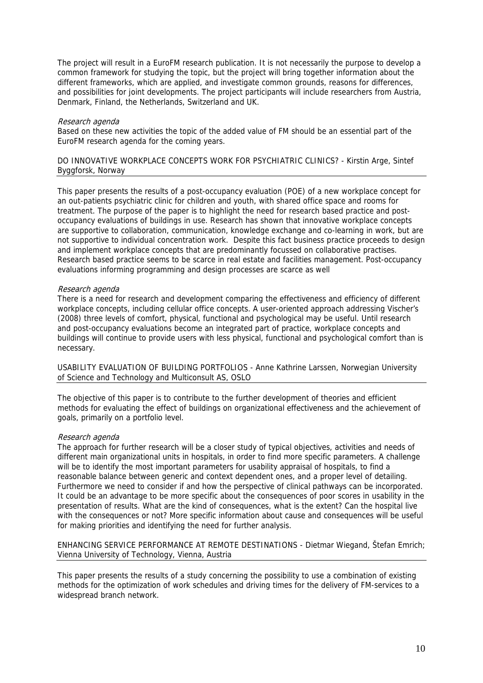The project will result in a EuroFM research publication. It is not necessarily the purpose to develop a common framework for studying the topic, but the project will bring together information about the different frameworks, which are applied, and investigate common grounds, reasons for differences, and possibilities for joint developments. The project participants will include researchers from Austria, Denmark, Finland, the Netherlands, Switzerland and UK.

#### Research agenda

Based on these new activities the topic of the added value of FM should be an essential part of the EuroFM research agenda for the coming years.

## DO INNOVATIVE WORKPLACE CONCEPTS WORK FOR PSYCHIATRIC CLINICS? - Kirstin Arge, Sintef Byggforsk, Norway

This paper presents the results of a post-occupancy evaluation (POE) of a new workplace concept for an out-patients psychiatric clinic for children and youth, with shared office space and rooms for treatment. The purpose of the paper is to highlight the need for research based practice and postoccupancy evaluations of buildings in use. Research has shown that innovative workplace concepts are supportive to collaboration, communication, knowledge exchange and co-learning in work, but are not supportive to individual concentration work. Despite this fact business practice proceeds to design and implement workplace concepts that are predominantly focussed on collaborative practises. Research based practice seems to be scarce in real estate and facilities management. Post-occupancy evaluations informing programming and design processes are scarce as well

## Research agenda

There is a need for research and development comparing the effectiveness and efficiency of different workplace concepts, including cellular office concepts. A user-oriented approach addressing Vischer's (2008) three levels of comfort, physical, functional and psychological may be useful. Until research and post-occupancy evaluations become an integrated part of practice, workplace concepts and buildings will continue to provide users with less physical, functional and psychological comfort than is necessary.

USABILITY EVALUATION OF BUILDING PORTFOLIOS - Anne Kathrine Larssen, Norwegian University of Science and Technology and Multiconsult AS, OSLO

The objective of this paper is to contribute to the further development of theories and efficient methods for evaluating the effect of buildings on organizational effectiveness and the achievement of goals, primarily on a portfolio level.

#### Research agenda

The approach for further research will be a closer study of typical objectives, activities and needs of different main organizational units in hospitals, in order to find more specific parameters. A challenge will be to identify the most important parameters for usability appraisal of hospitals, to find a reasonable balance between generic and context dependent ones, and a proper level of detailing. Furthermore we need to consider if and how the perspective of clinical pathways can be incorporated. It could be an advantage to be more specific about the consequences of poor scores in usability in the presentation of results. What are the kind of consequences, what is the extent? Can the hospital live with the consequences or not? More specific information about cause and consequences will be useful for making priorities and identifying the need for further analysis.

ENHANCING SERVICE PERFORMANCE AT REMOTE DESTINATIONS - Dietmar Wiegand, Štefan Emrich; Vienna University of Technology, Vienna, Austria

This paper presents the results of a study concerning the possibility to use a combination of existing methods for the optimization of work schedules and driving times for the delivery of FM-services to a widespread branch network.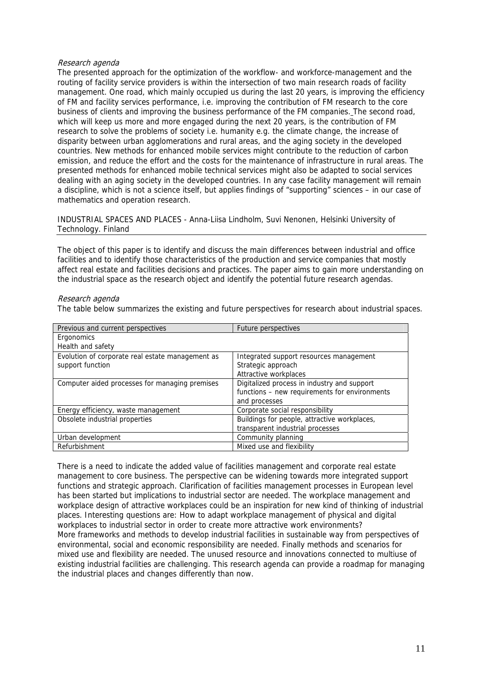## Research agenda

The presented approach for the optimization of the workflow- and workforce-management and the routing of facility service providers is within the intersection of two main research roads of facility management. One road, which mainly occupied us during the last 20 years, is improving the efficiency of FM and facility services performance, i.e. improving the contribution of FM research to the core business of clients and improving the business performance of the FM companies. The second road, which will keep us more and more engaged during the next 20 years, is the contribution of FM research to solve the problems of society i.e. humanity e.g. the climate change, the increase of disparity between urban agglomerations and rural areas, and the aging society in the developed countries. New methods for enhanced mobile services might contribute to the reduction of carbon emission, and reduce the effort and the costs for the maintenance of infrastructure in rural areas. The presented methods for enhanced mobile technical services might also be adapted to social services dealing with an aging society in the developed countries. In any case facility management will remain a discipline, which is not a science itself, but applies findings of "supporting" sciences – in our case of mathematics and operation research.

INDUSTRIAL SPACES AND PLACES - Anna-Liisa Lindholm, Suvi Nenonen, Helsinki University of Technology. Finland

The object of this paper is to identify and discuss the main differences between industrial and office facilities and to identify those characteristics of the production and service companies that mostly affect real estate and facilities decisions and practices. The paper aims to gain more understanding on the industrial space as the research object and identify the potential future research agendas.

#### Research agenda

The table below summarizes the existing and future perspectives for research about industrial spaces.

| Previous and current perspectives                | Future perspectives                           |
|--------------------------------------------------|-----------------------------------------------|
| Ergonomics                                       |                                               |
| Health and safety                                |                                               |
| Evolution of corporate real estate management as | Integrated support resources management       |
| support function                                 | Strategic approach                            |
|                                                  | Attractive workplaces                         |
| Computer aided processes for managing premises   | Digitalized process in industry and support   |
|                                                  | functions - new requirements for environments |
|                                                  | and processes                                 |
| Energy efficiency, waste management              | Corporate social responsibility               |
| Obsolete industrial properties                   | Buildings for people, attractive workplaces,  |
|                                                  | transparent industrial processes              |
| Urban development                                | Community planning                            |
| Refurbishment                                    | Mixed use and flexibility                     |

There is a need to indicate the added value of facilities management and corporate real estate management to core business. The perspective can be widening towards more integrated support functions and strategic approach. Clarification of facilities management processes in European level has been started but implications to industrial sector are needed. The workplace management and workplace design of attractive workplaces could be an inspiration for new kind of thinking of industrial places. Interesting questions are: How to adapt workplace management of physical and digital workplaces to industrial sector in order to create more attractive work environments? More frameworks and methods to develop industrial facilities in sustainable way from perspectives of environmental, social and economic responsibility are needed. Finally methods and scenarios for mixed use and flexibility are needed. The unused resource and innovations connected to multiuse of existing industrial facilities are challenging. This research agenda can provide a roadmap for managing the industrial places and changes differently than now.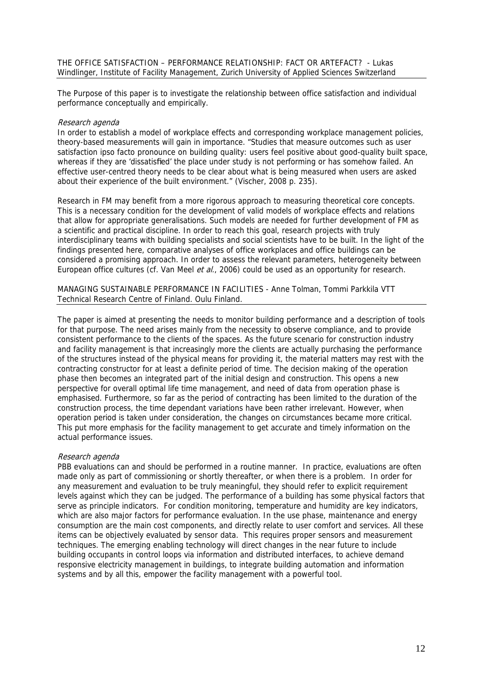The Purpose of this paper is to investigate the relationship between office satisfaction and individual performance conceptually and empirically.

## Research agenda

In order to establish a model of workplace effects and corresponding workplace management policies, theory-based measurements will gain in importance. "Studies that measure outcomes such as user satisfaction ipso facto pronounce on building quality: users feel positive about good-quality built space, whereas if they are 'dissatisfied' the place under study is not performing or has somehow failed. An effective user-centred theory needs to be clear about what is being measured when users are asked about their experience of the built environment." (Vischer, 2008 p. 235).

Research in FM may benefit from a more rigorous approach to measuring theoretical core concepts. This is a necessary condition for the development of valid models of workplace effects and relations that allow for appropriate generalisations. Such models are needed for further development of FM as a scientific and practical discipline. In order to reach this goal, research projects with truly interdisciplinary teams with building specialists and social scientists have to be built. In the light of the findings presented here, comparative analyses of office workplaces and office buildings can be considered a promising approach. In order to assess the relevant parameters, heterogeneity between European office cultures (cf. Van Meel et al., 2006) could be used as an opportunity for research.

MANAGING SUSTAINABLE PERFORMANCE IN FACILITIES - Anne Tolman, Tommi Parkkila VTT Technical Research Centre of Finland. Oulu Finland.

The paper is aimed at presenting the needs to monitor building performance and a description of tools for that purpose. The need arises mainly from the necessity to observe compliance, and to provide consistent performance to the clients of the spaces. As the future scenario for construction industry and facility management is that increasingly more the clients are actually purchasing the performance of the structures instead of the physical means for providing it, the material matters may rest with the contracting constructor for at least a definite period of time. The decision making of the operation phase then becomes an integrated part of the initial design and construction. This opens a new perspective for overall optimal life time management, and need of data from operation phase is emphasised. Furthermore, so far as the period of contracting has been limited to the duration of the construction process, the time dependant variations have been rather irrelevant. However, when operation period is taken under consideration, the changes on circumstances became more critical. This put more emphasis for the facility management to get accurate and timely information on the actual performance issues.

## Research agenda

PBB evaluations can and should be performed in a routine manner. In practice, evaluations are often made only as part of commissioning or shortly thereafter, or when there is a problem. In order for any measurement and evaluation to be truly meaningful, they should refer to explicit requirement levels against which they can be judged. The performance of a building has some physical factors that serve as principle indicators. For condition monitoring, temperature and humidity are key indicators, which are also major factors for performance evaluation. In the use phase, maintenance and energy consumption are the main cost components, and directly relate to user comfort and services. All these items can be objectively evaluated by sensor data. This requires proper sensors and measurement techniques. The emerging enabling technology will direct changes in the near future to include building occupants in control loops via information and distributed interfaces, to achieve demand responsive electricity management in buildings, to integrate building automation and information systems and by all this, empower the facility management with a powerful tool.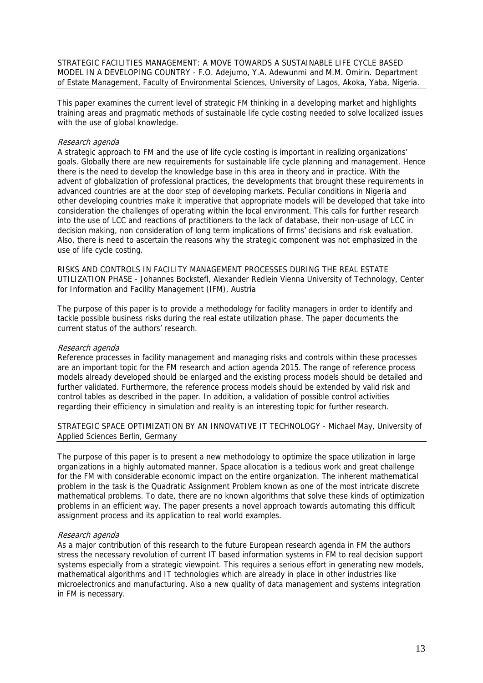STRATEGIC FACILITIES MANAGEMENT: A MOVE TOWARDS A SUSTAINABLE LIFE CYCLE BASED MODEL IN A DEVELOPING COUNTRY - F.O. Adejumo, Y.A. Adewunmi and M.M. Omirin. Department of Estate Management, Faculty of Environmental Sciences, University of Lagos, Akoka, Yaba, Nigeria.

This paper examines the current level of strategic FM thinking in a developing market and highlights training areas and pragmatic methods of sustainable life cycle costing needed to solve localized issues with the use of global knowledge.

## Research agenda

A strategic approach to FM and the use of life cycle costing is important in realizing organizations' goals. Globally there are new requirements for sustainable life cycle planning and management. Hence there is the need to develop the knowledge base in this area in theory and in practice. With the advent of globalization of professional practices, the developments that brought these requirements in advanced countries are at the door step of developing markets. Peculiar conditions in Nigeria and other developing countries make it imperative that appropriate models will be developed that take into consideration the challenges of operating within the local environment. This calls for further research into the use of LCC and reactions of practitioners to the lack of database, their non-usage of LCC in decision making, non consideration of long term implications of firms' decisions and risk evaluation. Also, there is need to ascertain the reasons why the strategic component was not emphasized in the use of life cycle costing.

RISKS AND CONTROLS IN FACILITY MANAGEMENT PROCESSES DURING THE REAL ESTATE UTILIZATION PHASE - Johannes Bockstefl, Alexander Redlein Vienna University of Technology, Center for Information and Facility Management (IFM), Austria

The purpose of this paper is to provide a methodology for facility managers in order to identify and tackle possible business risks during the real estate utilization phase. The paper documents the current status of the authors' research.

#### Research agenda

Reference processes in facility management and managing risks and controls within these processes are an important topic for the FM research and action agenda 2015. The range of reference process models already developed should be enlarged and the existing process models should be detailed and further validated. Furthermore, the reference process models should be extended by valid risk and control tables as described in the paper. In addition, a validation of possible control activities regarding their efficiency in simulation and reality is an interesting topic for further research.

STRATEGIC SPACE OPTIMIZATION BY AN INNOVATIVE IT TECHNOLOGY - Michael May, University of Applied Sciences Berlin, Germany

The purpose of this paper is to present a new methodology to optimize the space utilization in large organizations in a highly automated manner. Space allocation is a tedious work and great challenge for the FM with considerable economic impact on the entire organization. The inherent mathematical problem in the task is the Quadratic Assignment Problem known as one of the most intricate discrete mathematical problems. To date, there are no known algorithms that solve these kinds of optimization problems in an efficient way. The paper presents a novel approach towards automating this difficult assignment process and its application to real world examples.

#### Research agenda

As a major contribution of this research to the future European research agenda in FM the authors stress the necessary revolution of current IT based information systems in FM to real decision support systems especially from a strategic viewpoint. This requires a serious effort in generating new models, mathematical algorithms and IT technologies which are already in place in other industries like microelectronics and manufacturing. Also a new quality of data management and systems integration in FM is necessary.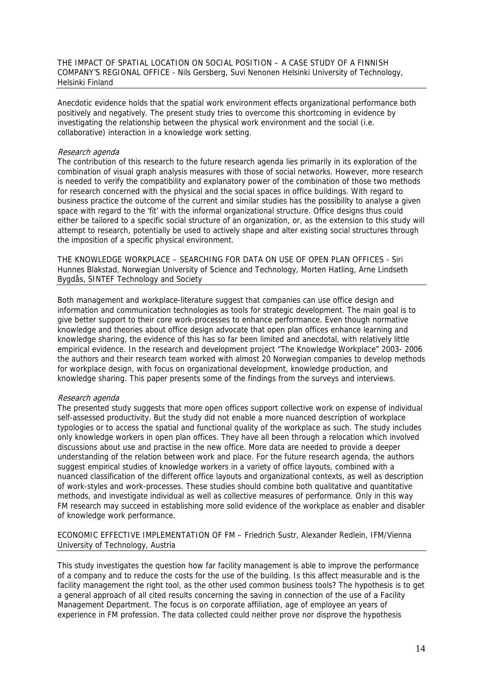THE IMPACT OF SPATIAL LOCATION ON SOCIAL POSITION – A CASE STUDY OF A FINNISH COMPANY'S REGIONAL OFFICE - Nils Gersberg, Suvi Nenonen Helsinki University of Technology, Helsinki Finland

Anecdotic evidence holds that the spatial work environment effects organizational performance both positively and negatively. The present study tries to overcome this shortcoming in evidence by investigating the relationship between the physical work environment and the social (i.e. collaborative) interaction in a knowledge work setting.

#### Research agenda

The contribution of this research to the future research agenda lies primarily in its exploration of the combination of visual graph analysis measures with those of social networks. However, more research is needed to verify the compatibility and explanatory power of the combination of those two methods for research concerned with the physical and the social spaces in office buildings. With regard to business practice the outcome of the current and similar studies has the possibility to analyse a given space with regard to the 'fit' with the informal organizational structure. Office designs thus could either be tailored to a specific social structure of an organization, or, as the extension to this study will attempt to research, potentially be used to actively shape and alter existing social structures through the imposition of a specific physical environment.

THE KNOWLEDGE WORKPLACE – SEARCHING FOR DATA ON USE OF OPEN PLAN OFFICES - Siri Hunnes Blakstad, Norwegian University of Science and Technology, Morten Hatling, Arne Lindseth Bygdås, SINTEF Technology and Society

Both management and workplace-literature suggest that companies can use office design and information and communication technologies as tools for strategic development. The main goal is to give better support to their core work-processes to enhance performance. Even though normative knowledge and theories about office design advocate that open plan offices enhance learning and knowledge sharing, the evidence of this has so far been limited and anecdotal, with relatively little empirical evidence. In the research and development project "The Knowledge Workplace" 2003- 2006 the authors and their research team worked with almost 20 Norwegian companies to develop methods for workplace design, with focus on organizational development, knowledge production, and knowledge sharing. This paper presents some of the findings from the surveys and interviews.

## Research agenda

The presented study suggests that more open offices support collective work on expense of individual self-assessed productivity. But the study did not enable a more nuanced description of workplace typologies or to access the spatial and functional quality of the workplace as such. The study includes only knowledge workers in open plan offices. They have all been through a relocation which involved discussions about use and practise in the new office. More data are needed to provide a deeper understanding of the relation between work and place. For the future research agenda, the authors suggest empirical studies of knowledge workers in a variety of office layouts, combined with a nuanced classification of the different office layouts and organizational contexts, as well as description of work-styles and work-processes. These studies should combine both qualitative and quantitative methods, and investigate individual as well as collective measures of performance. Only in this way FM research may succeed in establishing more solid evidence of the workplace as enabler and disabler of knowledge work performance.

ECONOMIC EFFECTIVE IMPLEMENTATION OF FM – Friedrich Sustr, Alexander Redlein, IFM/Vienna University of Technology, Austria

This study investigates the question how far facility management is able to improve the performance of a company and to reduce the costs for the use of the building. Is this affect measurable and is the facility management the right tool, as the other used common business tools? The hypothesis is to get a general approach of all cited results concerning the saving in connection of the use of a Facility Management Department. The focus is on corporate affiliation, age of employee an years of experience in FM profession. The data collected could neither prove nor disprove the hypothesis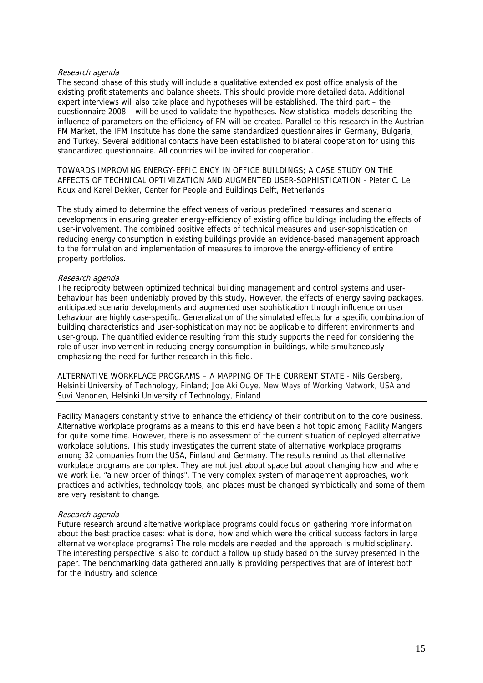## Research agenda

The second phase of this study will include a qualitative extended ex post office analysis of the existing profit statements and balance sheets. This should provide more detailed data. Additional expert interviews will also take place and hypotheses will be established. The third part – the questionnaire 2008 – will be used to validate the hypotheses. New statistical models describing the influence of parameters on the efficiency of FM will be created. Parallel to this research in the Austrian FM Market, the IFM Institute has done the same standardized questionnaires in Germany, Bulgaria, and Turkey. Several additional contacts have been established to bilateral cooperation for using this standardized questionnaire. All countries will be invited for cooperation.

TOWARDS IMPROVING ENERGY-EFFICIENCY IN OFFICE BUILDINGS; A CASE STUDY ON THE AFFECTS OF TECHNICAL OPTIMIZATION AND AUGMENTED USER-SOPHISTICATION - Pieter C. Le Roux and Karel Dekker, Center for People and Buildings Delft, Netherlands

The study aimed to determine the effectiveness of various predefined measures and scenario developments in ensuring greater energy-efficiency of existing office buildings including the effects of user-involvement. The combined positive effects of technical measures and user-sophistication on reducing energy consumption in existing buildings provide an evidence-based management approach to the formulation and implementation of measures to improve the energy-efficiency of entire property portfolios.

#### Research agenda

The reciprocity between optimized technical building management and control systems and userbehaviour has been undeniably proved by this study. However, the effects of energy saving packages, anticipated scenario developments and augmented user sophistication through influence on user behaviour are highly case-specific. Generalization of the simulated effects for a specific combination of building characteristics and user-sophistication may not be applicable to different environments and user-group. The quantified evidence resulting from this study supports the need for considering the role of user-involvement in reducing energy consumption in buildings, while simultaneously emphasizing the need for further research in this field.

ALTERNATIVE WORKPLACE PROGRAMS – A MAPPING OF THE CURRENT STATE - Nils Gersberg, Helsinki University of Technology, Finland; Joe Aki Ouye, New Ways of Working Network, USA and Suvi Nenonen, Helsinki University of Technology, Finland

Facility Managers constantly strive to enhance the efficiency of their contribution to the core business. Alternative workplace programs as a means to this end have been a hot topic among Facility Mangers for quite some time. However, there is no assessment of the current situation of deployed alternative workplace solutions. This study investigates the current state of alternative workplace programs among 32 companies from the USA, Finland and Germany. The results remind us that alternative workplace programs are complex. They are not just about space but about changing how and where we work i.e. "a new order of things". The very complex system of management approaches, work practices and activities, technology tools, and places must be changed symbiotically and some of them are very resistant to change.

#### Research agenda

Future research around alternative workplace programs could focus on gathering more information about the best practice cases: what is done, how and which were the critical success factors in large alternative workplace programs? The role models are needed and the approach is multidisciplinary. The interesting perspective is also to conduct a follow up study based on the survey presented in the paper. The benchmarking data gathered annually is providing perspectives that are of interest both for the industry and science.